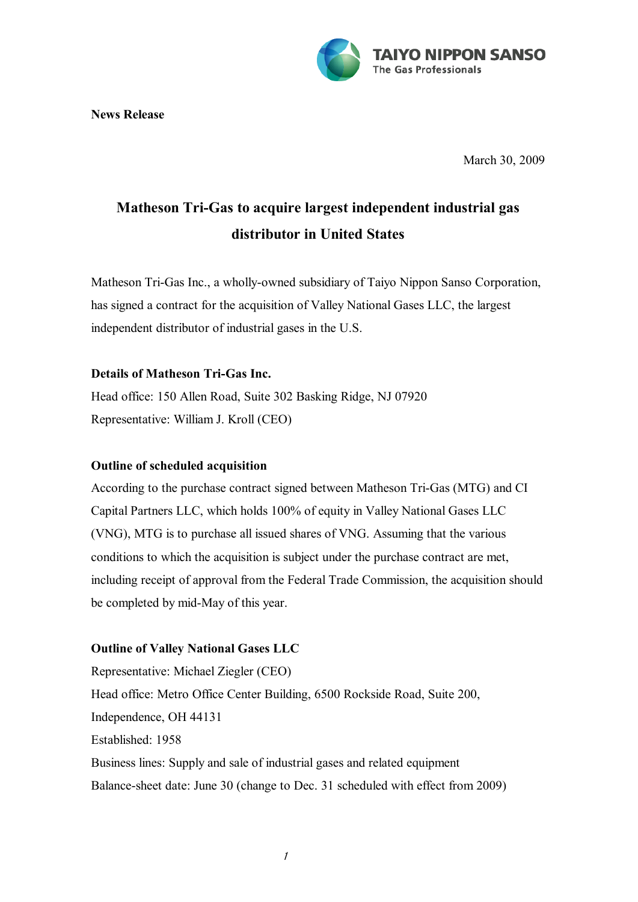

**News Release**

March 30, 2009

# **Matheson Tri-Gas to acquire largest independent industrial gas distributor in United States**

Matheson Tri-Gas Inc., a wholly-owned subsidiary of Taiyo Nippon Sanso Corporation, has signed a contract for the acquisition of Valley National Gases LLC, the largest independent distributor of industrial gases in the U.S.

## **Details of Matheson Tri-Gas Inc.**

Head office: 150 Allen Road, Suite 302 Basking Ridge, NJ 07920 Representative: William J. Kroll (CEO)

#### **Outline of scheduled acquisition**

According to the purchase contract signed between Matheson Tri-Gas (MTG) and CI Capital Partners LLC, which holds 100% of equity in Valley National Gases LLC (VNG), MTG is to purchase all issued shares of VNG. Assuming that the various conditions to which the acquisition is subject under the purchase contract are met, including receipt of approval from the Federal Trade Commission, the acquisition should be completed by mid-May of this year.

## **Outline of Valley National Gases LLC**

Representative: Michael Ziegler (CEO) Head office: Metro Office Center Building, 6500 Rockside Road, Suite 200, Independence, OH 44131 Established: 1958 Business lines: Supply and sale of industrial gases and related equipment Balance-sheet date: June 30 (change to Dec. 31 scheduled with effect from 2009)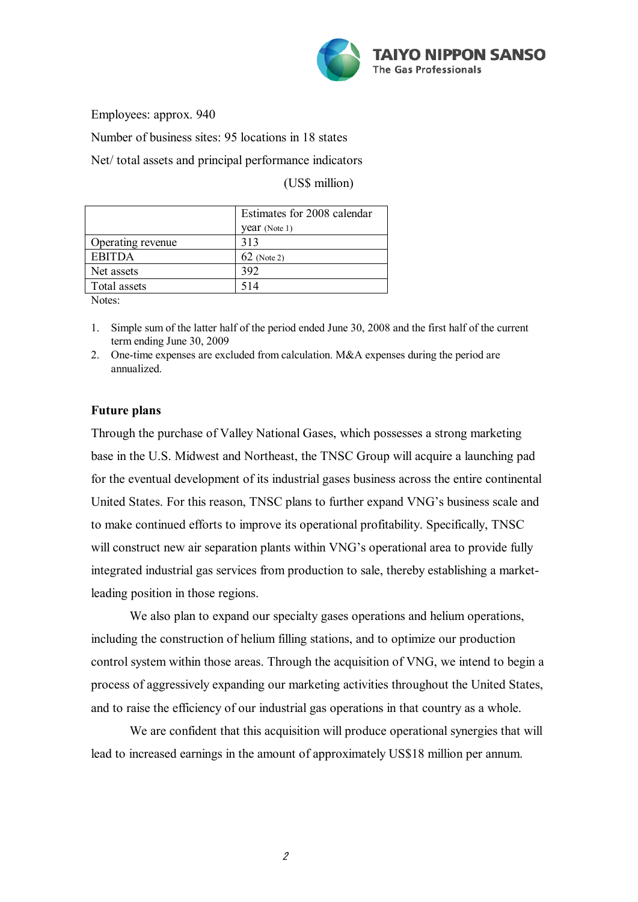

Employees: approx. 940

Number of business sites: 95 locations in 18 states

Net/ total assets and principal performance indicators

(US\$ million)

|                   | Estimates for 2008 calendar |
|-------------------|-----------------------------|
|                   | year (Note 1)               |
| Operating revenue | 313                         |
| <b>EBITDA</b>     | $62$ (Note 2)               |
| Net assets        | 392                         |
| Total assets      | 514                         |

Notes:

- 1. Simple sum of the latter half of the period ended June 30, 2008 and the first half of the current term ending June 30, 2009
- 2. One-time expenses are excluded from calculation. M&A expenses during the period are annualized.

## **Future plans**

Through the purchase of Valley National Gases, which possesses a strong marketing base in the U.S. Midwest and Northeast, the TNSC Group will acquire a launching pad for the eventual development of its industrial gases business across the entire continental United States. For this reason, TNSC plans to further expand VNG's business scale and to make continued efforts to improve its operational profitability. Specifically, TNSC will construct new air separation plants within VNG's operational area to provide fully integrated industrial gas services from production to sale, thereby establishing a marketleading position in those regions.

We also plan to expand our specialty gases operations and helium operations, including the construction of helium filling stations, and to optimize our production control system within those areas. Through the acquisition of VNG, we intend to begin a process of aggressively expanding our marketing activities throughout the United States, and to raise the efficiency of our industrial gas operations in that country as a whole.

We are confident that this acquisition will produce operational synergies that will lead to increased earnings in the amount of approximately US\$18 million per annum.